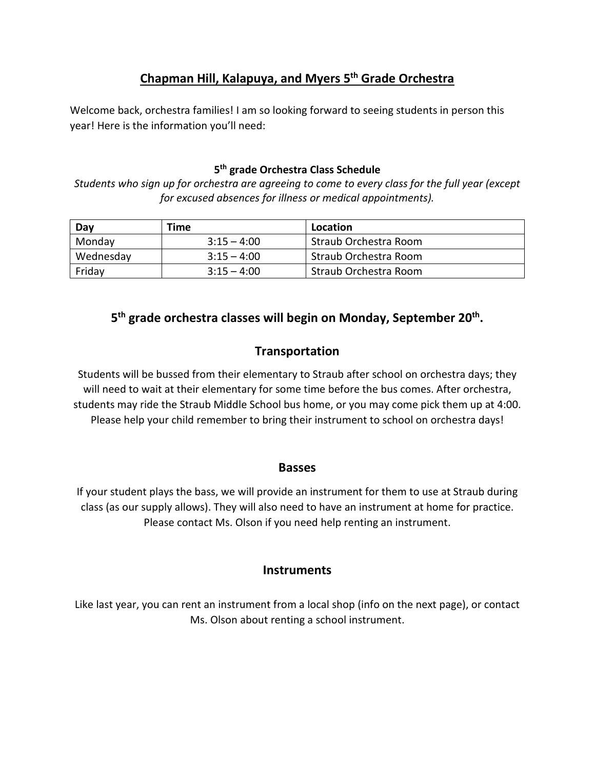## **Chapman Hill, Kalapuya, and Myers 5th Grade Orchestra**

Welcome back, orchestra families! I am so looking forward to seeing students in person this year! Here is the information you'll need:

#### **5th grade Orchestra Class Schedule**

*Students who sign up for orchestra are agreeing to come to every class for the full year (except for excused absences for illness or medical appointments).*

| Day       | Time          | Location              |
|-----------|---------------|-----------------------|
| Monday    | $3:15 - 4:00$ | Straub Orchestra Room |
| Wednesday | $3:15 - 4:00$ | Straub Orchestra Room |
| Friday    | $3:15 - 4:00$ | Straub Orchestra Room |

## **5 th grade orchestra classes will begin on Monday, September 20 th .**

### **Transportation**

Students will be bussed from their elementary to Straub after school on orchestra days; they will need to wait at their elementary for some time before the bus comes. After orchestra, students may ride the Straub Middle School bus home, or you may come pick them up at 4:00. Please help your child remember to bring their instrument to school on orchestra days!

#### **Basses**

If your student plays the bass, we will provide an instrument for them to use at Straub during class (as our supply allows). They will also need to have an instrument at home for practice. Please contact Ms. Olson if you need help renting an instrument.

#### **Instruments**

Like last year, you can rent an instrument from a local shop (info on the next page), or contact Ms. Olson about renting a school instrument.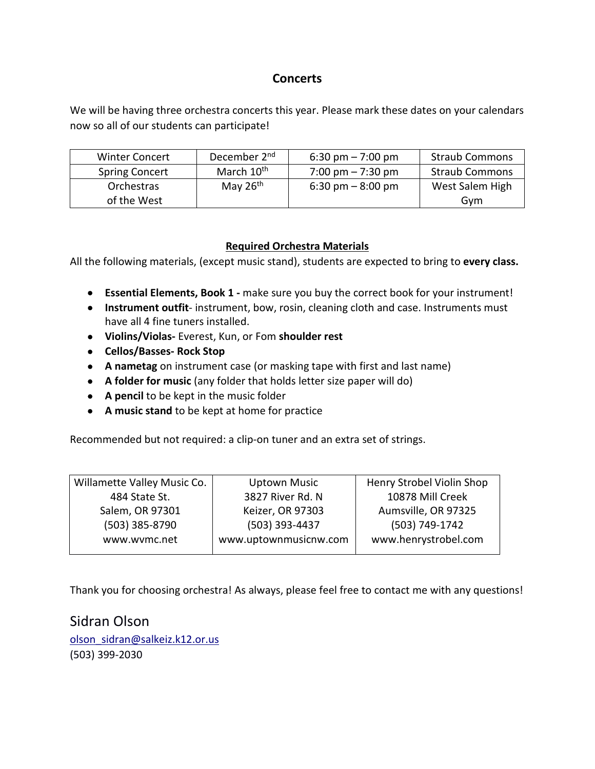## **Concerts**

We will be having three orchestra concerts this year. Please mark these dates on your calendars now so all of our students can participate!

| <b>Winter Concert</b> | December 2 <sup>nd</sup> | $6:30 \text{ pm} - 7:00 \text{ pm}$ | <b>Straub Commons</b> |
|-----------------------|--------------------------|-------------------------------------|-----------------------|
| <b>Spring Concert</b> | March 10 <sup>th</sup>   | $7:00 \text{ pm} - 7:30 \text{ pm}$ | <b>Straub Commons</b> |
| Orchestras            | May $26th$               | $6:30 \text{ pm} - 8:00 \text{ pm}$ | West Salem High       |
| of the West           |                          |                                     | Gvm                   |

#### **Required Orchestra Materials**

All the following materials, (except music stand), students are expected to bring to **every class.**

- **Essential Elements, Book 1 -** make sure you buy the correct book for your instrument!
- **Instrument outfit** instrument, bow, rosin, cleaning cloth and case. Instruments must have all 4 fine tuners installed.
- **Violins/Violas-** Everest, Kun, or Fom **shoulder rest**
- **Cellos/Basses- Rock Stop**
- **A nametag** on instrument case (or masking tape with first and last name)
- **A folder for music** (any folder that holds letter size paper will do)
- **A pencil** to be kept in the music folder
- **A music stand** to be kept at home for practice

Recommended but not required: a clip-on tuner and an extra set of strings.

| Willamette Valley Music Co. | <b>Uptown Music</b>   | Henry Strobel Violin Shop |
|-----------------------------|-----------------------|---------------------------|
| 484 State St.               | 3827 River Rd. N      | 10878 Mill Creek          |
| Salem, OR 97301             | Keizer, OR 97303      | Aumsville, OR 97325       |
| (503) 385-8790              | (503) 393-4437        | (503) 749-1742            |
| www.wvmc.net                | www.uptownmusicnw.com | www.henrystrobel.com      |
|                             |                       |                           |

Thank you for choosing orchestra! As always, please feel free to contact me with any questions!

Sidran Olson olson\_sidran@salkeiz.k12.or.us (503) 399-2030